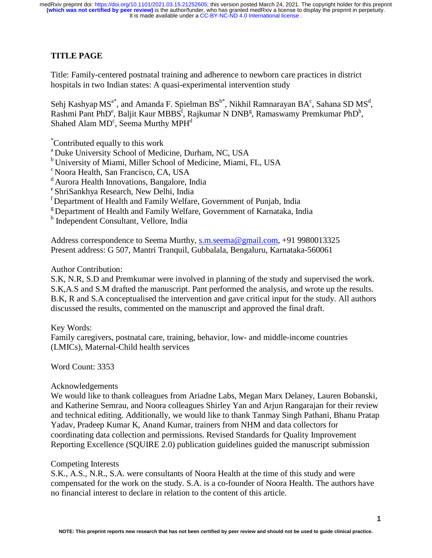# **TITLE PAGE**

Title: Family-centered postnatal training and adherence to newborn care practices in district hospitals in two Indian states: A quasi-experimental intervention study

Sehj Kashyap MS<sup>a\*</sup>, and Amanda F. Spielman BS<sup>b\*</sup>, Nikhil Ramnarayan BA<sup>c</sup>, Sahana SD MS<sup>d</sup>, Rashmi Pant PhD<sup>e</sup>, Baljit Kaur MBBS<sup>f</sup>, Rajkumar N DNB<sup>g</sup>, Ramaswamy Premkumar PhD<sup>h</sup>, Shahed Alam  $MD<sup>c</sup>$ , Seema Murthy  $MPH<sup>d</sup>$ 

\* Contributed equally to this work

a Duke University School of Medicine, Durham, NC, USA

b University of Miami, Miller School of Medicine, Miami, FL, USA

c Noora Health, San Francisco, CA, USA

- <sup>d</sup> Aurora Health Innovations, Bangalore, India
- e ShriSankhya Research, New Delhi, India
- f Department of Health and Family Welfare, Government of Punjab, India
- <sup>g</sup> Department of Health and Family Welfare, Government of Karnataka, India

h Independent Consultant, Vellore, India

Address correspondence to Seema Murthy, s.m.seema@gmail.com, +91 9980013325 Present address: G 507, Mantri Tranquil, Gubbalala, Bengaluru, Karnataka-560061

# Author Contribution:

S.K, N.R, S.D and Premkumar were involved in planning of the study and supervised the work. S.K,A.S and S.M drafted the manuscript. Pant performed the analysis, and wrote up the results. B.K, R and S.A conceptualised the intervention and gave critical input for the study. All authors discussed the results, commented on the manuscript and approved the final draft.

# Key Words:

Family caregivers, postnatal care, training, behavior, low- and middle-income countries (LMICs), Maternal-Child health services

Word Count: 3353

# Acknowledgements

We would like to thank colleagues from Ariadne Labs, Megan Marx Delaney, Lauren Bobanski, and Katherine Semrau, and Noora colleagues Shirley Yan and Arjun Rangarajan for their review and technical editing. Additionally, we would like to thank Tanmay Singh Pathani, Bhanu Pratap Yadav, Pradeep Kumar K, Anand Kumar, trainers from NHM and data collectors for coordinating data collection and permissions. Revised Standards for Quality Improvement Reporting Excellence (SQUIRE 2.0) publication guidelines guided the manuscript submission

# Competing Interests

S.K., A.S., N.R., S.A. were consultants of Noora Health at the time of this study and were compensated for the work on the study. S.A. is a co-founder of Noora Health. The authors have no financial interest to declare in relation to the content of this article.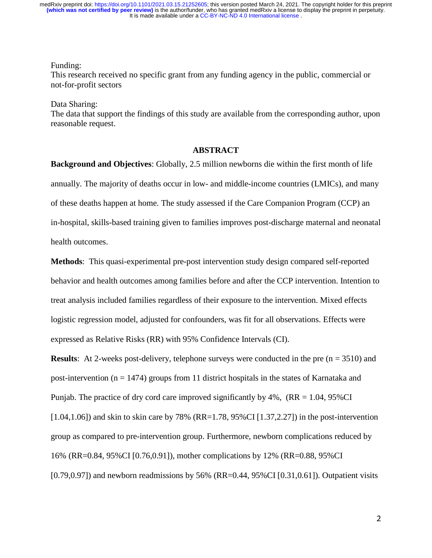# Funding:

This research received no specific grant from any funding agency in the public, commercial or not-for-profit sectors

## Data Sharing:

The data that support the findings of this study are available from the corresponding author, upon reasonable request.

## **ABSTRACT**

**Background and Objectives**: Globally, 2.5 million newborns die within the first month of life annually. The majority of deaths occur in low- and middle-income countries (LMICs), and many of these deaths happen at home. The study assessed if the Care Companion Program (CCP) an in-hospital, skills-based training given to families improves post-discharge maternal and neonatal health outcomes.

**Methods**: This quasi-experimental pre-post intervention study design compared self-reported behavior and health outcomes among families before and after the CCP intervention. Intention to treat analysis included families regardless of their exposure to the intervention. Mixed effects logistic regression model, adjusted for confounders, was fit for all observations. Effects were expressed as Relative Risks (RR) with 95% Confidence Intervals (CI).

**Results**: At 2-weeks post-delivery, telephone surveys were conducted in the pre  $(n = 3510)$  and post-intervention ( $n = 1474$ ) groups from 11 district hospitals in the states of Karnataka and Punjab. The practice of dry cord care improved significantly by  $4\%$ , (RR = 1.04, 95%CI)  $[1.04,1.06]$ ) and skin to skin care by 78% (RR=1.78, 95%CI  $[1.37,2.27]$ ) in the post-intervention group as compared to pre-intervention group. Furthermore, newborn complications reduced by 16% (RR=0.84, 95%CI [0.76,0.91]), mother complications by 12% (RR=0.88, 95%CI [0.79,0.97]) and newborn readmissions by 56% (RR=0.44, 95%CI [0.31,0.61]). Outpatient visits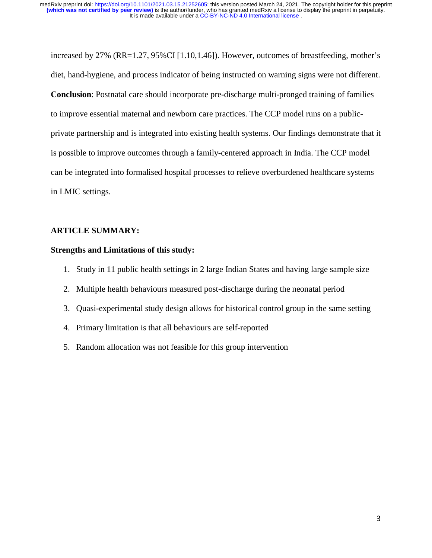increased by 27% (RR=1.27, 95%CI [1.10,1.46]). However, outcomes of breastfeeding, mother's diet, hand-hygiene, and process indicator of being instructed on warning signs were not different. **Conclusion**: Postnatal care should incorporate pre-discharge multi-pronged training of families to improve essential maternal and newborn care practices. The CCP model runs on a publicprivate partnership and is integrated into existing health systems. Our findings demonstrate that it is possible to improve outcomes through a family-centered approach in India. The CCP model can be integrated into formalised hospital processes to relieve overburdened healthcare systems in LMIC settings.

# **ARTICLE SUMMARY:**

## **Strengths and Limitations of this study:**

- 1. Study in 11 public health settings in 2 large Indian States and having large sample size
- 2. Multiple health behaviours measured post-discharge during the neonatal period
- 3. Quasi-experimental study design allows for historical control group in the same setting
- 4. Primary limitation is that all behaviours are self-reported
- 5. Random allocation was not feasible for this group intervention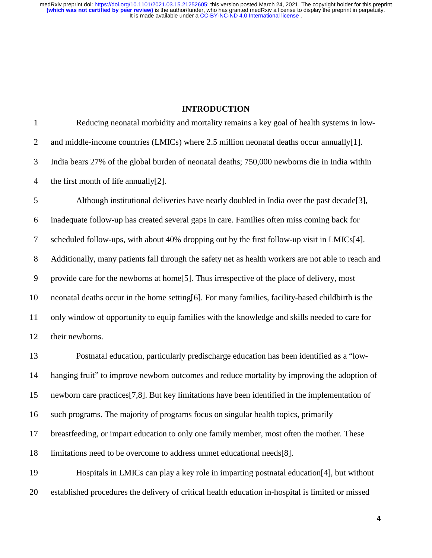# **INTRODUCTION**

| $\mathbf{1}$   | Reducing neonatal morbidity and mortality remains a key goal of health systems in low-                      |
|----------------|-------------------------------------------------------------------------------------------------------------|
| $\overline{2}$ | and middle-income countries (LMICs) where 2.5 million neonatal deaths occur annually[1].                    |
| 3              | India bears 27% of the global burden of neonatal deaths; 750,000 newborns die in India within               |
| $\overline{4}$ | the first month of life annually[2].                                                                        |
| 5              | Although institutional deliveries have nearly doubled in India over the past decade[3],                     |
| 6              | inadequate follow-up has created several gaps in care. Families often miss coming back for                  |
| $\tau$         | scheduled follow-ups, with about 40% dropping out by the first follow-up visit in LMICs[4].                 |
| $8\,$          | Additionally, many patients fall through the safety net as health workers are not able to reach and         |
| 9              | provide care for the newborns at home[5]. Thus irrespective of the place of delivery, most                  |
| 10             | neonatal deaths occur in the home setting[6]. For many families, facility-based childbirth is the           |
| 11             | only window of opportunity to equip families with the knowledge and skills needed to care for               |
| 12             | their newborns.                                                                                             |
| 13             | Postnatal education, particularly predischarge education has been identified as a "low-                     |
| 14             | hanging fruit" to improve newborn outcomes and reduce mortality by improving the adoption of                |
| 15             | newborn care practices <sup>[7,8]</sup> . But key limitations have been identified in the implementation of |
| 16             | such programs. The majority of programs focus on singular health topics, primarily                          |
| 17             | breastfeeding, or impart education to only one family member, most often the mother. These                  |
| 18             | limitations need to be overcome to address unmet educational needs[8].                                      |
| 19             | Hospitals in LMICs can play a key role in imparting postnatal education [4], but without                    |
| 20             | established procedures the delivery of critical health education in-hospital is limited or missed           |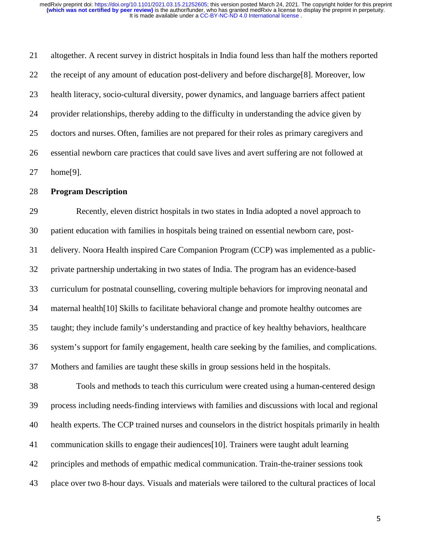21 altogether. A recent survey in district hospitals in India found less than half the mothers reported 22 the receipt of any amount of education post-delivery and before discharge[8]. Moreover, low 23 health literacy, socio-cultural diversity, power dynamics, and language barriers affect patient 24 provider relationships, thereby adding to the difficulty in understanding the advice given by 25 doctors and nurses. Often, families are not prepared for their roles as primary caregivers and 26 essential newborn care practices that could save lives and avert suffering are not followed at 27 home[9].

# 28 **Program Description**

29 Recently, eleven district hospitals in two states in India adopted a novel approach to 30 patient education with families in hospitals being trained on essential newborn care, post-31 delivery. Noora Health inspired Care Companion Program (CCP) was implemented as a public-32 private partnership undertaking in two states of India. The program has an evidence-based 33 curriculum for postnatal counselling, covering multiple behaviors for improving neonatal and 34 maternal health[10] Skills to facilitate behavioral change and promote healthy outcomes are 35 taught; they include family's understanding and practice of key healthy behaviors, healthcare 36 system's support for family engagement, health care seeking by the families, and complications. 37 Mothers and families are taught these skills in group sessions held in the hospitals.

38 Tools and methods to teach this curriculum were created using a human-centered design 39 process including needs-finding interviews with families and discussions with local and regional 40 health experts. The CCP trained nurses and counselors in the district hospitals primarily in health 41 communication skills to engage their audiences[10]. Trainers were taught adult learning 42 principles and methods of empathic medical communication. Train-the-trainer sessions took 43 place over two 8-hour days. Visuals and materials were tailored to the cultural practices of local

5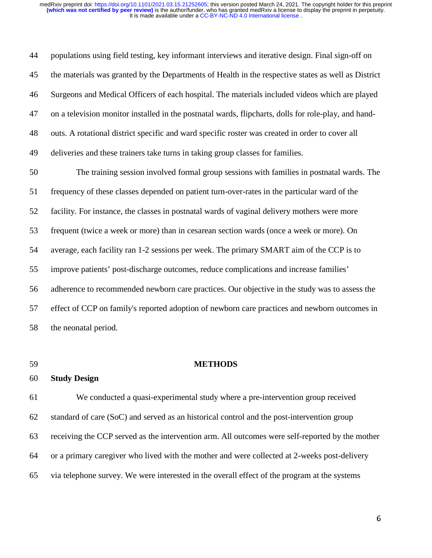44 populations using field testing, key informant interviews and iterative design. Final sign-off on 45 the materials was granted by the Departments of Health in the respective states as well as District 46 Surgeons and Medical Officers of each hospital. The materials included videos which are played 47 on a television monitor installed in the postnatal wards, flipcharts, dolls for role-play, and hand-48 outs. A rotational district specific and ward specific roster was created in order to cover all 49 deliveries and these trainers take turns in taking group classes for families. 50 The training session involved formal group sessions with families in postnatal wards. The 51 frequency of these classes depended on patient turn-over-rates in the particular ward of the 52 facility. For instance, the classes in postnatal wards of vaginal delivery mothers were more 53 frequent (twice a week or more) than in cesarean section wards (once a week or more). On 54 average, each facility ran 1-2 sessions per week. The primary SMART aim of the CCP is to 55 improve patients' post-discharge outcomes, reduce complications and increase families' 56 adherence to recommended newborn care practices. Our objective in the study was to assess the 57 effect of CCP on family's reported adoption of newborn care practices and newborn outcomes in 58 the neonatal period.

## 59 **METHODS**

#### 60 **Study Design**

61 We conducted a quasi-experimental study where a pre-intervention group received 62 standard of care (SoC) and served as an historical control and the post-intervention group 63 receiving the CCP served as the intervention arm. All outcomes were self-reported by the mother 64 or a primary caregiver who lived with the mother and were collected at 2-weeks post-delivery 65 via telephone survey. We were interested in the overall effect of the program at the systems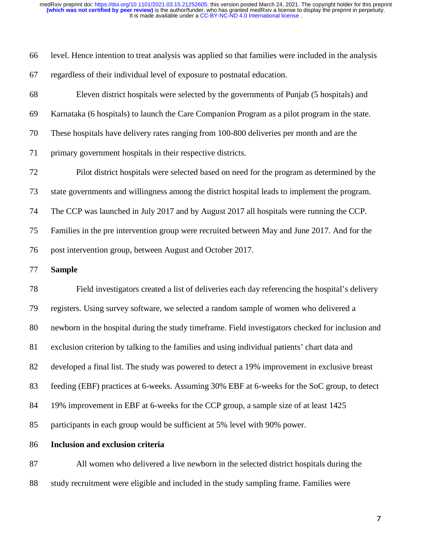| 66 level. Hence intention to treat analysis was applied so that families were included in the analysis |
|--------------------------------------------------------------------------------------------------------|
| 67 regardless of their individual level of exposure to postnatal education.                            |

68 Eleven district hospitals were selected by the governments of Punjab (5 hospitals) and 69 Karnataka (6 hospitals) to launch the Care Companion Program as a pilot program in the state. 70 These hospitals have delivery rates ranging from 100-800 deliveries per month and are the 71 primary government hospitals in their respective districts. 72 Pilot district hospitals were selected based on need for the program as determined by the 73 state governments and willingness among the district hospital leads to implement the program. 74 The CCP was launched in July 2017 and by August 2017 all hospitals were running the CCP. 75 Families in the pre intervention group were recruited between May and June 2017. And for the 76 post intervention group, between August and October 2017.

### 77 **Sample**

78 Field investigators created a list of deliveries each day referencing the hospital's delivery 79 registers. Using survey software, we selected a random sample of women who delivered a 80 newborn in the hospital during the study timeframe. Field investigators checked for inclusion and 81 exclusion criterion by talking to the families and using individual patients' chart data and 82 developed a final list. The study was powered to detect a 19% improvement in exclusive breast 83 feeding (EBF) practices at 6-weeks. Assuming 30% EBF at 6-weeks for the SoC group, to detect 84 19% improvement in EBF at 6-weeks for the CCP group, a sample size of at least 1425 85 participants in each group would be sufficient at 5% level with 90% power.

#### 86 **Inclusion and exclusion criteria**

87 All women who delivered a live newborn in the selected district hospitals during the 88 study recruitment were eligible and included in the study sampling frame. Families were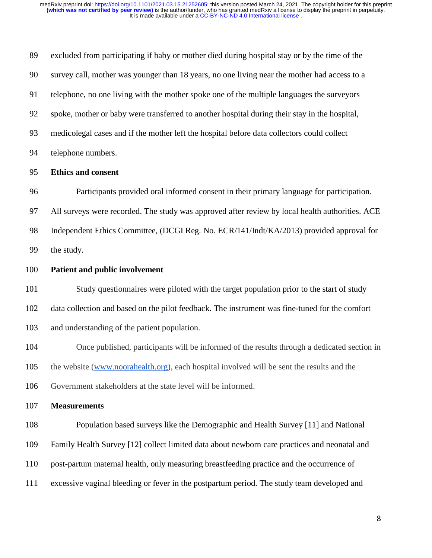89 excluded from participating if baby or mother died during hospital stay or by the time of the 90 survey call, mother was younger than 18 years, no one living near the mother had access to a 91 telephone, no one living with the mother spoke one of the multiple languages the surveyors 92 spoke, mother or baby were transferred to another hospital during their stay in the hospital, 93 medicolegal cases and if the mother left the hospital before data collectors could collect 94 telephone numbers. 95 **Ethics and consent** 96 Participants provided oral informed consent in their primary language for participation. 97 All surveys were recorded. The study was approved after review by local health authorities. ACE 98 Independent Ethics Committee, (DCGI Reg. No. ECR/141/Indt/KA/2013) provided approval for 99 the study. 100 **Patient and public involvement** 101 Study questionnaires were piloted with the target population prior to the start of study 102 data collection and based on the pilot feedback. The instrument was fine-tuned for the comfort 103 and understanding of the patient population. 104 Once published, participants will be informed of the results through a dedicated section in 105 the website (www.noorahealth.org), each hospital involved will be sent the results and the 106 Government stakeholders at the state level will be informed. 107 **Measurements**  108 Population based surveys like the Demographic and Health Survey [11] and National 109 Family Health Survey [12] collect limited data about newborn care practices and neonatal and 110 post-partum maternal health, only measuring breastfeeding practice and the occurrence of 111 excessive vaginal bleeding or fever in the postpartum period. The study team developed and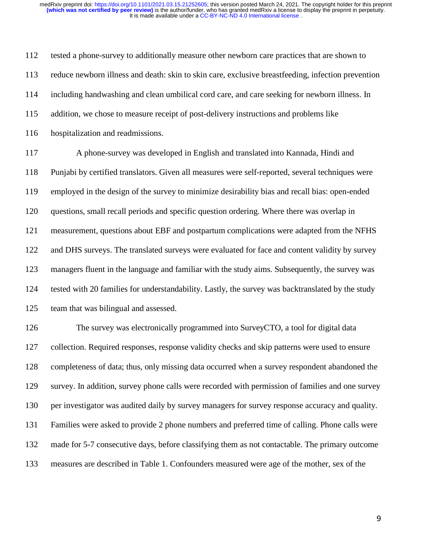112 tested a phone-survey to additionally measure other newborn care practices that are shown to 113 reduce newborn illness and death: skin to skin care, exclusive breastfeeding, infection prevention 114 including handwashing and clean umbilical cord care, and care seeking for newborn illness. In 115 addition, we chose to measure receipt of post-delivery instructions and problems like 116 hospitalization and readmissions.

117 A phone-survey was developed in English and translated into Kannada, Hindi and 118 Punjabi by certified translators. Given all measures were self-reported, several techniques were 119 employed in the design of the survey to minimize desirability bias and recall bias: open-ended 120 questions, small recall periods and specific question ordering. Where there was overlap in 121 measurement, questions about EBF and postpartum complications were adapted from the NFHS 122 and DHS surveys. The translated surveys were evaluated for face and content validity by survey 123 managers fluent in the language and familiar with the study aims. Subsequently, the survey was 124 tested with 20 families for understandability. Lastly, the survey was backtranslated by the study 125 team that was bilingual and assessed.

126 The survey was electronically programmed into SurveyCTO, a tool for digital data 127 collection. Required responses, response validity checks and skip patterns were used to ensure 128 completeness of data; thus, only missing data occurred when a survey respondent abandoned the 129 survey. In addition, survey phone calls were recorded with permission of families and one survey 130 per investigator was audited daily by survey managers for survey response accuracy and quality. 131 Families were asked to provide 2 phone numbers and preferred time of calling. Phone calls were 132 made for 5-7 consecutive days, before classifying them as not contactable. The primary outcome 133 measures are described in Table 1. Confounders measured were age of the mother, sex of the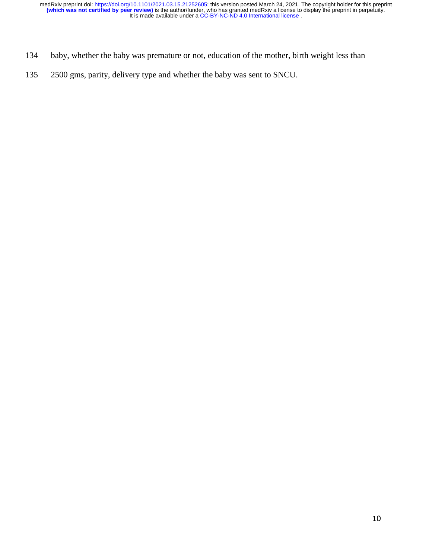- 134 baby, whether the baby was premature or not, education of the mother, birth weight less than
- 135 2500 gms, parity, delivery type and whether the baby was sent to SNCU.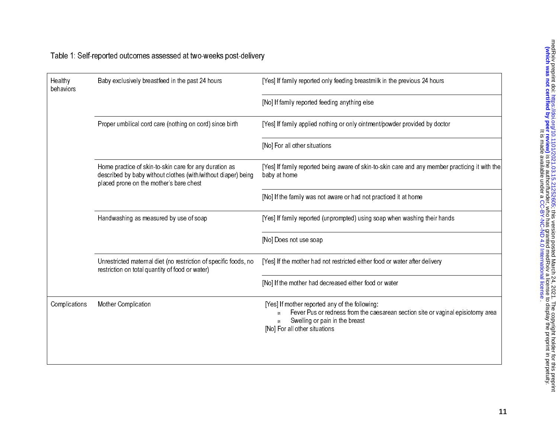| Healthy<br>behaviors | Baby exclusively breastfeed in the past 24 hours                                                                                                                   | [Yes] If family reported only feeding breastmilk in the previous 24 hours                                                                                                                            |  |  |  |  |
|----------------------|--------------------------------------------------------------------------------------------------------------------------------------------------------------------|------------------------------------------------------------------------------------------------------------------------------------------------------------------------------------------------------|--|--|--|--|
|                      |                                                                                                                                                                    | [No] If family reported feeding anything else                                                                                                                                                        |  |  |  |  |
|                      | Proper umbilical cord care (nothing on cord) since birth                                                                                                           | [Yes] If family applied nothing or only ointment/powder provided by doctor                                                                                                                           |  |  |  |  |
|                      |                                                                                                                                                                    | [No] For all other situations                                                                                                                                                                        |  |  |  |  |
|                      | Home practice of skin-to-skin care for any duration as<br>described by baby without clothes (with/without diaper) being<br>placed prone on the mother's bare chest | [Yes] If family reported being aware of skin-to-skin care and any member practicing it with the<br>baby at home                                                                                      |  |  |  |  |
|                      |                                                                                                                                                                    | [No] If the family was not aware or had not practiced it at home                                                                                                                                     |  |  |  |  |
|                      | Handwashing as measured by use of soap                                                                                                                             | [Yes] If family reported (unprompted) using soap when washing their hands                                                                                                                            |  |  |  |  |
|                      |                                                                                                                                                                    | [No] Does not use soap                                                                                                                                                                               |  |  |  |  |
|                      | Unrestricted maternal diet (no restriction of specific foods, no<br>restriction on total quantity of food or water)                                                | [Yes] If the mother had not restricted either food or water after delivery                                                                                                                           |  |  |  |  |
|                      |                                                                                                                                                                    | [No] If the mother had decreased either food or water                                                                                                                                                |  |  |  |  |
| Complications        | Mother Complication                                                                                                                                                | [Yes] If mother reported any of the following:<br>Fever Pus or redness from the caesarean section site or vaginal episiotomy area<br>Swelling or pain in the breast<br>[No] For all other situations |  |  |  |  |
|                      |                                                                                                                                                                    |                                                                                                                                                                                                      |  |  |  |  |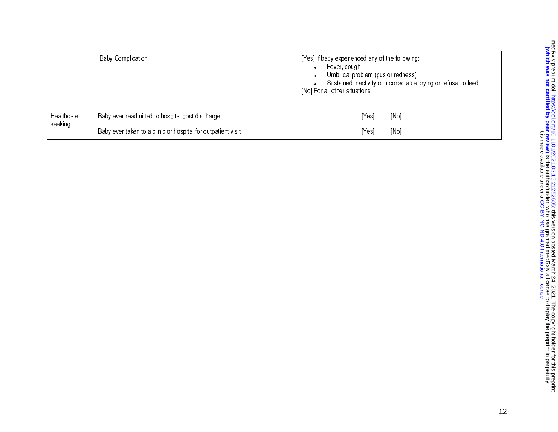|            | <b>Baby Complication</b>                                     | [Yes] If baby experienced any of the following:<br>Fever, cough<br>Umbilical problem (pus or redness)<br>Sustained inactivity or inconsolable crying or refusal to feed<br>[No] For all other situations |
|------------|--------------------------------------------------------------|----------------------------------------------------------------------------------------------------------------------------------------------------------------------------------------------------------|
| Healthcare | Baby ever readmitted to hospital post-discharge              | [Yes]<br>[No]                                                                                                                                                                                            |
| seeking    | Baby ever taken to a clinic or hospital for outpatient visit | [Yes]<br>[No]                                                                                                                                                                                            |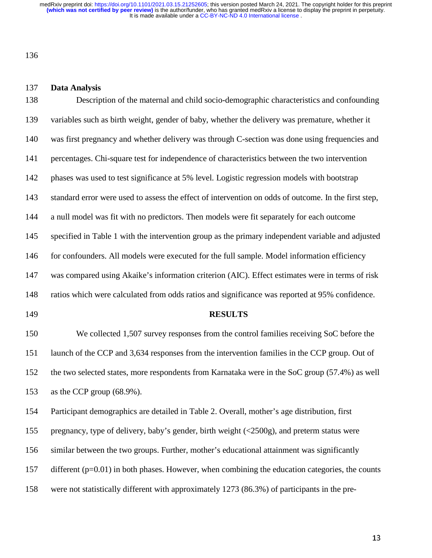136

#### 137 **Data Analysis**

138 Description of the maternal and child socio-demographic characteristics and confounding 139 variables such as birth weight, gender of baby, whether the delivery was premature, whether it 140 was first pregnancy and whether delivery was through C-section was done using frequencies and 141 percentages. Chi-square test for independence of characteristics between the two intervention 142 phases was used to test significance at 5% level. Logistic regression models with bootstrap 143 standard error were used to assess the effect of intervention on odds of outcome. In the first step, 144 a null model was fit with no predictors. Then models were fit separately for each outcome 145 specified in Table 1 with the intervention group as the primary independent variable and adjusted 146 for confounders. All models were executed for the full sample. Model information efficiency 147 was compared using Akaike's information criterion (AIC). Effect estimates were in terms of risk 148 ratios which were calculated from odds ratios and significance was reported at 95% confidence. 149 **RESULTS**  150 We collected 1,507 survey responses from the control families receiving SoC before the 151 launch of the CCP and 3,634 responses from the intervention families in the CCP group. Out of 152 the two selected states, more respondents from Karnataka were in the SoC group (57.4%) as well 153 as the CCP group (68.9%). 154 Participant demographics are detailed in Table 2. Overall, mother's age distribution, first 155 pregnancy, type of delivery, baby's gender, birth weight (<2500g), and preterm status were 156 similar between the two groups. Further, mother's educational attainment was significantly

157 different (p=0.01) in both phases. However, when combining the education categories, the counts

158 were not statistically different with approximately 1273 (86.3%) of participants in the pre-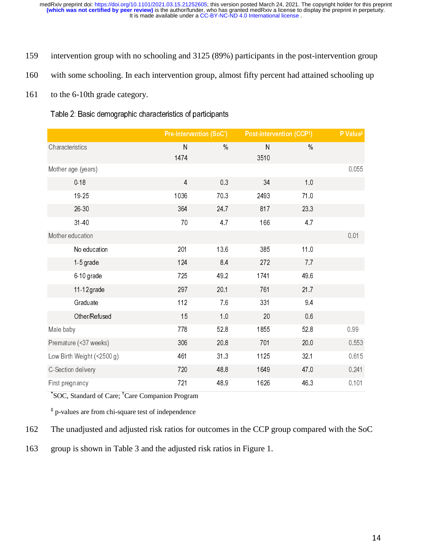- 159 intervention group with no schooling and 3125 (89%) participants in the post-intervention group
- 160 with some schooling. In each intervention group, almost fifty percent had attained schooling up
- 161 to the 6-10th grade category.

Table 2: Basic demographic characteristics of participants

|                            | Pre-intervention (SoC*) |      | Post-intervention (CCP1) |      | P Value‡ |
|----------------------------|-------------------------|------|--------------------------|------|----------|
| Characteristics            | $\mathsf{N}$<br>1474    | $\%$ | ${\sf N}$<br>3510        | $\%$ |          |
| Mother age (years)         |                         |      |                          |      | 0.055    |
| 0.18                       | $\overline{4}$          | 0.3  | 34                       | 1.0  |          |
| 19-25                      | 1036                    | 703  | 2493                     | 71.0 |          |
| 26 30                      | 364                     | 24 7 | 817                      | 233  |          |
| 31-40                      | 70                      | 4.7  | 166                      | 4.7  |          |
| Mother education           |                         |      |                          |      | 0.01     |
| No education               | 201                     | 13.6 | 385                      | 11.0 |          |
| 1-5 grade                  | 124                     | 8.4  | 272                      | 7.7  |          |
| 6-10 grade                 | 725                     | 49.2 | 1741                     | 49.6 |          |
| 11-12 grade                | 297                     | 20.1 | 761                      | 21.7 |          |
| Graduate                   | 112                     | 76   | 331                      | 94   |          |
| Other/Refused              | 15                      | 1.0  | 20                       | 0.6  |          |
| Male baby                  | 778                     | 52.8 | 1855                     | 52.8 | 0.99     |
| Premature (<37 weeks)      | 306                     | 20.8 | 701                      | 20.0 | 0.553    |
| Low Birth Weight (<2500 g) | 461                     | 31.3 | 1125                     | 32.1 | 0.615    |
| C-Section delivery         | 720                     | 48.8 | 1649                     | 470  | 0.241    |
| First pregnancy            | 721                     | 48.9 | 1626                     | 46.3 | 0.101    |

**\*** SOC, Standard of Care; **†** Care Companion Program

**‡** p-values are from chi-square test of independence

- 162 The unadjusted and adjusted risk ratios for outcomes in the CCP group compared with the SoC
- 163 group is shown in Table 3 and the adjusted risk ratios in Figure 1.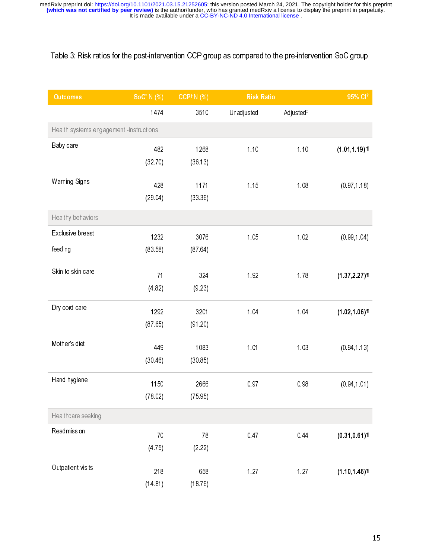# Table 3: Risk ratios for the post-intervention CCP group as compared to the pre-intervention SoC group

| <b>Outcomes</b>                         | $Soc^* N$ (%) | <b>CCP1 N (%)</b> | <b>Risk Ratio</b> |                       | 95% Cl <sup>§</sup>         |
|-----------------------------------------|---------------|-------------------|-------------------|-----------------------|-----------------------------|
|                                         | 1474          | 3510              | Unadjusted        | Adjusted <sup>#</sup> |                             |
| Health systems engagement -instructions |               |                   |                   |                       |                             |
| Baby care                               | 482           | 1268              | 1.10              | 1.10                  | $(1.01, 1.19)$ \[           |
|                                         | (32 70)       | (36.13)           |                   |                       |                             |
| <b>Warning Signs</b>                    | 428           | 1171              | 1.15              | 1.08                  | (0.97, 1.18)                |
|                                         | (29.04)       | (33.36)           |                   |                       |                             |
| Healthy behaviors                       |               |                   |                   |                       |                             |
|                                         |               |                   |                   |                       |                             |
| Exclusive breast                        | 1232          | 3076              | 1.05              | 1.02                  | (0.99, 1.04)                |
| feeding                                 | (83.58)       | (8764)            |                   |                       |                             |
| Skin to skin care                       | 71            | 324               | 192               | 1.78                  | (1.37, 2.27)                |
|                                         | (482)         | (9.23)            |                   |                       |                             |
| Dry cord care                           | 1292          | 3201              | 1.04              | 1.04                  | $(1.02, 1.06)$ <sup>T</sup> |
|                                         | (8765)        | (91.20)           |                   |                       |                             |
|                                         |               |                   |                   |                       |                             |
| Mother's diet                           | 449           | 1083              | 1.01              | 1.03                  | (0.94, 1.13)                |
|                                         | (30.46)       | (30.85)           |                   |                       |                             |
| Hand hygiene                            | 1150          | 2666              | 097               | 0.98                  | (0.94, 1.01)                |
|                                         | (78.02)       | (75.95)           |                   |                       |                             |
| Healthcare seeking                      |               |                   |                   |                       |                             |
| Readmission                             | $70$          | 78                | 047               | 0.44                  | (0.31, 0.61)                |
|                                         | (4.75)        | (2.22)            |                   |                       |                             |
|                                         |               |                   |                   |                       |                             |
| Outpatient visits                       | 218           | 658               | 1.27              | 127                   | $(1.10, 1.46)$ <sup>T</sup> |
|                                         | (14.81)       | (18.76)           |                   |                       |                             |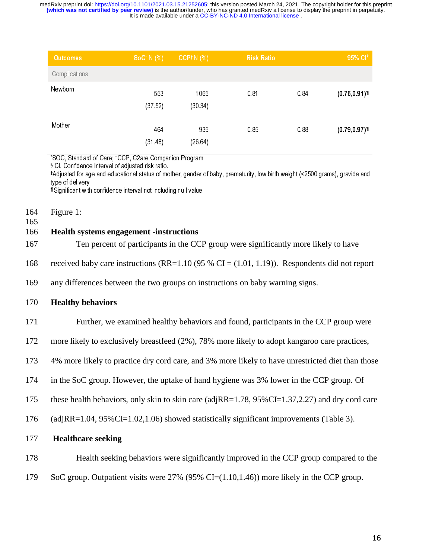| <b>Outcomes</b> | $Soc^* N$ (%)  | CCP <sup>t</sup> $N$ (%) | <b>Risk Ratio</b> |      | 95% CI <sup>§</sup>         |
|-----------------|----------------|--------------------------|-------------------|------|-----------------------------|
| Complications   |                |                          |                   |      |                             |
| Newbom          | 553<br>(37.52) | 1065<br>(30.34)          | 0.81              | 0.84 | $(0.76, 0.91)$ <sup>1</sup> |
| Mother          | 464<br>(31.48) | 935<br>(26.64)           | 0.85              | 0.88 | (0.79, 0.97)                |

\* SOC, Standard of Care; †CCP, C2are Companion Program

§ CI, Confidence Interval of adjusted risk ratio.

‡Adjusted for age and educational status of mother, gender of baby, prematurity, low birth weight (<2500 grams), gravida and type of delivery

¶ Significant with confidence interval not including null value

164 Figure 1:

165

# 166 **Health systems engagement -instructions**

- 167 Ten percent of participants in the CCP group were significantly more likely to have
- 168 received baby care instructions (RR=1.10 (95 % CI = (1.01, 1.19)). Respondents did not report
- 169 any differences between the two groups on instructions on baby warning signs.

## 170 **Healthy behaviors**

171 Further, we examined healthy behaviors and found, participants in the CCP group were

172 more likely to exclusively breastfeed (2%), 78% more likely to adopt kangaroo care practices,

173 4% more likely to practice dry cord care, and 3% more likely to have unrestricted diet than those

- 174 in the SoC group. However, the uptake of hand hygiene was 3% lower in the CCP group. Of
- 175 these health behaviors, only skin to skin care (adjRR=1.78, 95%CI=1.37,2.27) and dry cord care

176 (adjRR=1.04, 95%CI=1.02,1.06) showed statistically significant improvements (Table 3).

- 177 **Healthcare seeking**
- 178 Health seeking behaviors were significantly improved in the CCP group compared to the
- 179 SoC group. Outpatient visits were 27% (95% CI=(1.10,1.46)) more likely in the CCP group.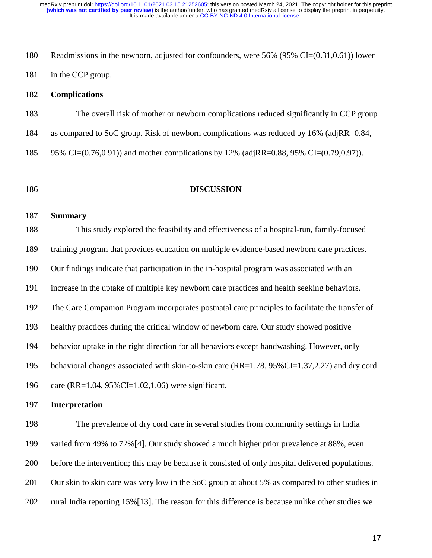180 Readmissions in the newborn, adjusted for confounders, were 56% (95% CI=(0.31,0.61)) lower 181 in the CCP group.

# 182 **Complications**

183 The overall risk of mother or newborn complications reduced significantly in CCP group

184 as compared to SoC group. Risk of newborn complications was reduced by 16% (adjRR=0.84,

185 95% CI=(0.76,0.91)) and mother complications by 12% (adjRR=0.88, 95% CI=(0.79,0.97)).

# 186 **DISCUSSION**

#### 187 **Summary**

188 This study explored the feasibility and effectiveness of a hospital-run, family-focused 189 training program that provides education on multiple evidence-based newborn care practices. 190 Our findings indicate that participation in the in-hospital program was associated with an 191 increase in the uptake of multiple key newborn care practices and health seeking behaviors. 192 The Care Companion Program incorporates postnatal care principles to facilitate the transfer of 193 healthy practices during the critical window of newborn care. Our study showed positive 194 behavior uptake in the right direction for all behaviors except handwashing. However, only 195 behavioral changes associated with skin-to-skin care (RR=1.78, 95%CI=1.37,2.27) and dry cord

196 care (RR=1.04, 95%CI=1.02,1.06) were significant.

# 197 **Interpretation**

198 The prevalence of dry cord care in several studies from community settings in India 199 varied from 49% to 72%[4]. Our study showed a much higher prior prevalence at 88%, even 200 before the intervention; this may be because it consisted of only hospital delivered populations. 201 Our skin to skin care was very low in the SoC group at about 5% as compared to other studies in 202 rural India reporting 15%[13]. The reason for this difference is because unlike other studies we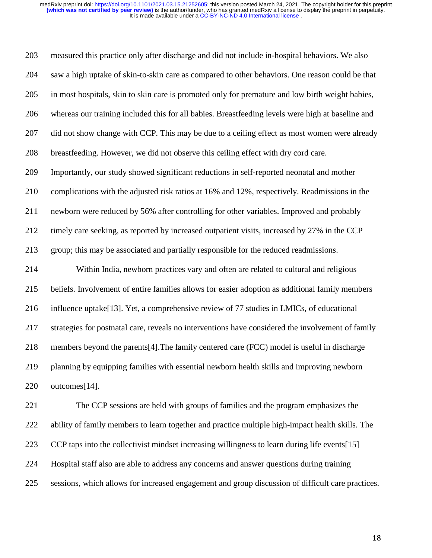203 measured this practice only after discharge and did not include in-hospital behaviors. We also 204 saw a high uptake of skin-to-skin care as compared to other behaviors. One reason could be that 205 in most hospitals, skin to skin care is promoted only for premature and low birth weight babies, 206 whereas our training included this for all babies. Breastfeeding levels were high at baseline and 207 did not show change with CCP. This may be due to a ceiling effect as most women were already 208 breastfeeding. However, we did not observe this ceiling effect with dry cord care. 209 Importantly, our study showed significant reductions in self-reported neonatal and mother 210 complications with the adjusted risk ratios at 16% and 12%, respectively. Readmissions in the 211 newborn were reduced by 56% after controlling for other variables. Improved and probably 212 timely care seeking, as reported by increased outpatient visits, increased by 27% in the CCP 213 group; this may be associated and partially responsible for the reduced readmissions. 214 Within India, newborn practices vary and often are related to cultural and religious 215 beliefs. Involvement of entire families allows for easier adoption as additional family members 216 influence uptake[13]. Yet, a comprehensive review of 77 studies in LMICs, of educational 217 strategies for postnatal care, reveals no interventions have considered the involvement of family 218 members beyond the parents[4].The family centered care (FCC) model is useful in discharge 219 planning by equipping families with essential newborn health skills and improving newborn 220 outcomes[14]. 221 The CCP sessions are held with groups of families and the program emphasizes the

222 ability of family members to learn together and practice multiple high-impact health skills. The 223 CCP taps into the collectivist mindset increasing willingness to learn during life events[15] 224 Hospital staff also are able to address any concerns and answer questions during training 225 sessions, which allows for increased engagement and group discussion of difficult care practices.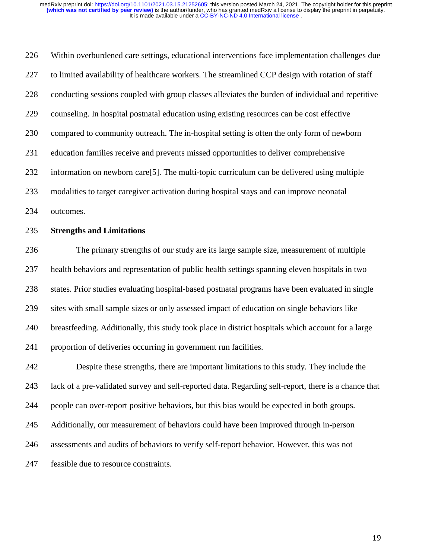226 Within overburdened care settings, educational interventions face implementation challenges due 227 to limited availability of healthcare workers. The streamlined CCP design with rotation of staff 228 conducting sessions coupled with group classes alleviates the burden of individual and repetitive 229 counseling. In hospital postnatal education using existing resources can be cost effective 230 compared to community outreach. The in-hospital setting is often the only form of newborn 231 education families receive and prevents missed opportunities to deliver comprehensive 232 information on newborn care[5]. The multi-topic curriculum can be delivered using multiple 233 modalities to target caregiver activation during hospital stays and can improve neonatal 234 outcomes. 235 **Strengths and Limitations**  236 The primary strengths of our study are its large sample size, measurement of multiple 237 health behaviors and representation of public health settings spanning eleven hospitals in two 238 states. Prior studies evaluating hospital-based postnatal programs have been evaluated in single 239 sites with small sample sizes or only assessed impact of education on single behaviors like 240 breastfeeding. Additionally, this study took place in district hospitals which account for a large 241 proportion of deliveries occurring in government run facilities. 242 Despite these strengths, there are important limitations to this study. They include the 243 lack of a pre-validated survey and self-reported data. Regarding self-report, there is a chance that 244 people can over-report positive behaviors, but this bias would be expected in both groups. 245 Additionally, our measurement of behaviors could have been improved through in-person 246 assessments and audits of behaviors to verify self-report behavior. However, this was not

247 feasible due to resource constraints.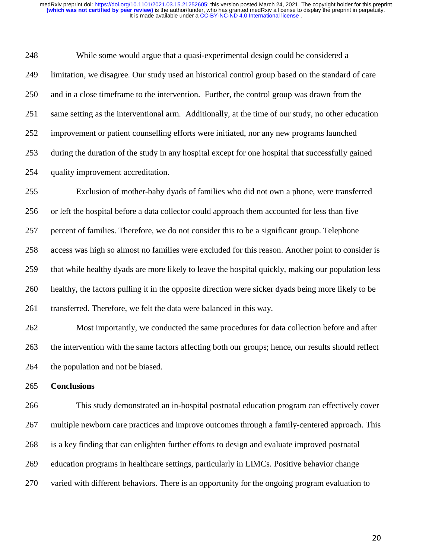248 While some would argue that a quasi-experimental design could be considered a 249 limitation, we disagree. Our study used an historical control group based on the standard of care 250 and in a close timeframe to the intervention. Further, the control group was drawn from the 251 same setting as the interventional arm. Additionally, at the time of our study, no other education 252 improvement or patient counselling efforts were initiated, nor any new programs launched 253 during the duration of the study in any hospital except for one hospital that successfully gained 254 quality improvement accreditation.

255 Exclusion of mother-baby dyads of families who did not own a phone, were transferred 256 or left the hospital before a data collector could approach them accounted for less than five 257 percent of families. Therefore, we do not consider this to be a significant group. Telephone 258 access was high so almost no families were excluded for this reason. Another point to consider is 259 that while healthy dyads are more likely to leave the hospital quickly, making our population less 260 healthy, the factors pulling it in the opposite direction were sicker dyads being more likely to be 261 transferred. Therefore, we felt the data were balanced in this way.

262 Most importantly, we conducted the same procedures for data collection before and after 263 the intervention with the same factors affecting both our groups; hence, our results should reflect 264 the population and not be biased.

265 **Conclusions** 

266 This study demonstrated an in-hospital postnatal education program can effectively cover 267 multiple newborn care practices and improve outcomes through a family-centered approach. This 268 is a key finding that can enlighten further efforts to design and evaluate improved postnatal 269 education programs in healthcare settings, particularly in LIMCs. Positive behavior change 270 varied with different behaviors. There is an opportunity for the ongoing program evaluation to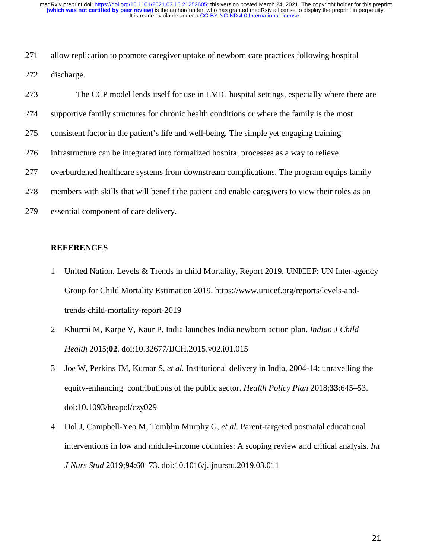271 allow replication to promote caregiver uptake of newborn care practices following hospital 272 discharge.

| 273 | The CCP model lends itself for use in LMIC hospital settings, especially where there are          |
|-----|---------------------------------------------------------------------------------------------------|
| 274 | supportive family structures for chronic health conditions or where the family is the most        |
| 275 | consistent factor in the patient's life and well-being. The simple yet engaging training          |
| 276 | infrastructure can be integrated into formalized hospital processes as a way to relieve           |
| 277 | overburdened healthcare systems from downstream complications. The program equips family          |
| 278 | members with skills that will benefit the patient and enable caregivers to view their roles as an |
| 279 | essential component of care delivery.                                                             |

## **REFERENCES**

- 1 United Nation. Levels & Trends in child Mortality, Report 2019. UNICEF: UN Inter-agency Group for Child Mortality Estimation 2019. https://www.unicef.org/reports/levels-andtrends-child-mortality-report-2019
- 2 Khurmi M, Karpe V, Kaur P. India launches India newborn action plan. *Indian J Child Health* 2015;**02**. doi:10.32677/IJCH.2015.v02.i01.015
- 3 Joe W, Perkins JM, Kumar S, *et al.* Institutional delivery in India, 2004-14: unravelling the equity-enhancing contributions of the public sector. *Health Policy Plan* 2018;**33**:645–53. doi:10.1093/heapol/czy029
- 4 Dol J, Campbell-Yeo M, Tomblin Murphy G, *et al.* Parent-targeted postnatal educational interventions in low and middle-income countries: A scoping review and critical analysis. *Int J Nurs Stud* 2019;**94**:60–73. doi:10.1016/j.ijnurstu.2019.03.011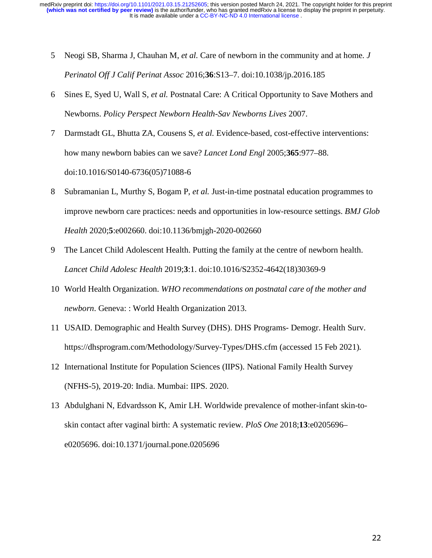- 5 Neogi SB, Sharma J, Chauhan M, *et al.* Care of newborn in the community and at home. *J Perinatol Off J Calif Perinat Assoc* 2016;**36**:S13–7. doi:10.1038/jp.2016.185
- 6 Sines E, Syed U, Wall S, *et al.* Postnatal Care: A Critical Opportunity to Save Mothers and Newborns. *Policy Perspect Newborn Health-Sav Newborns Lives* 2007.
- 7 Darmstadt GL, Bhutta ZA, Cousens S, *et al.* Evidence-based, cost-effective interventions: how many newborn babies can we save? *Lancet Lond Engl* 2005;**365**:977–88. doi:10.1016/S0140-6736(05)71088-6
- 8 Subramanian L, Murthy S, Bogam P, *et al.* Just-in-time postnatal education programmes to improve newborn care practices: needs and opportunities in low-resource settings. *BMJ Glob Health* 2020;**5**:e002660. doi:10.1136/bmjgh-2020-002660
- 9 The Lancet Child Adolescent Health. Putting the family at the centre of newborn health. *Lancet Child Adolesc Health* 2019;**3**:1. doi:10.1016/S2352-4642(18)30369-9
- 10 World Health Organization. *WHO recommendations on postnatal care of the mother and newborn*. Geneva: : World Health Organization 2013.
- 11 USAID. Demographic and Health Survey (DHS). DHS Programs- Demogr. Health Surv. https://dhsprogram.com/Methodology/Survey-Types/DHS.cfm (accessed 15 Feb 2021).
- 12 International Institute for Population Sciences (IIPS). National Family Health Survey (NFHS-5), 2019-20: India. Mumbai: IIPS. 2020.
- 13 Abdulghani N, Edvardsson K, Amir LH. Worldwide prevalence of mother-infant skin-toskin contact after vaginal birth: A systematic review. *PloS One* 2018;**13**:e0205696– e0205696. doi:10.1371/journal.pone.0205696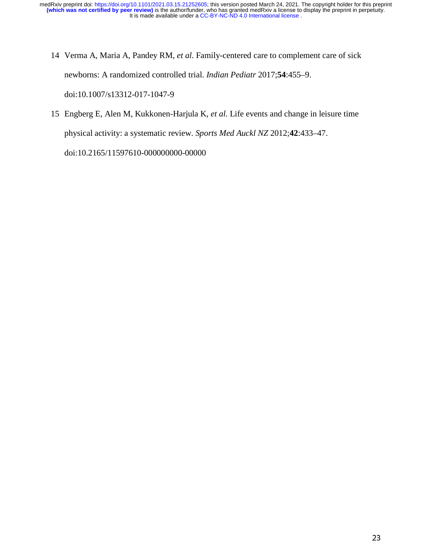- 14 Verma A, Maria A, Pandey RM, *et al.* Family-centered care to complement care of sick newborns: A randomized controlled trial. *Indian Pediatr* 2017;**54**:455–9. doi:10.1007/s13312-017-1047-9
- 15 Engberg E, Alen M, Kukkonen-Harjula K, *et al.* Life events and change in leisure time physical activity: a systematic review. *Sports Med Auckl NZ* 2012;**42**:433–47. doi:10.2165/11597610-000000000-00000